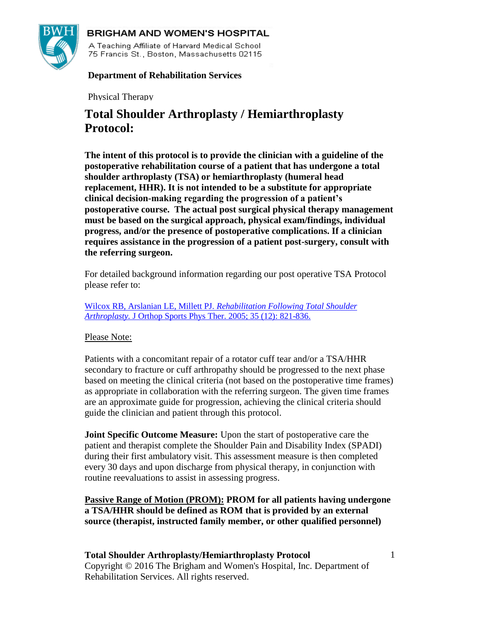

#### BRIGHAM AND WOMEN'S HOSPITAL

A Teaching Affiliate of Harvard Medical School 75 Francis St., Boston, Massachusetts 02115

#### **Department of Rehabilitation Services**

Physical Therapy

# **Total Shoulder Arthroplasty / Hemiarthroplasty Protocol:**

**The intent of this protocol is to provide the clinician with a guideline of the postoperative rehabilitation course of a patient that has undergone a total shoulder arthroplasty (TSA) or hemiarthroplasty (humeral head replacement, HHR). It is not intended to be a substitute for appropriate clinical decision-making regarding the progression of a patient's postoperative course. The actual post surgical physical therapy management must be based on the surgical approach, physical exam/findings, individual progress, and/or the presence of postoperative complications. If a clinician requires assistance in the progression of a patient post-surgery, consult with the referring surgeon.**

For detailed background information regarding our post operative TSA Protocol please refer to:

Wilcox RB, Arslanian LE, Millett PJ*[. Rehabilitation Following Total Shoulder](http://www.jospt.org/doi/pdf/10.2519/jospt.2005.35.12.821)  Arthroplasty.* [J Orthop Sports Phys Ther. 2005; 35 \(12\): 821-836.](http://www.jospt.org/doi/pdf/10.2519/jospt.2005.35.12.821)

#### Please Note:

Patients with a concomitant repair of a rotator cuff tear and/or a TSA/HHR secondary to fracture or cuff arthropathy should be progressed to the next phase based on meeting the clinical criteria (not based on the postoperative time frames) as appropriate in collaboration with the referring surgeon. The given time frames are an approximate guide for progression, achieving the clinical criteria should guide the clinician and patient through this protocol.

**Joint Specific Outcome Measure:** Upon the start of postoperative care the patient and therapist complete the Shoulder Pain and Disability Index (SPADI) during their first ambulatory visit. This assessment measure is then completed every 30 days and upon discharge from physical therapy, in conjunction with routine reevaluations to assist in assessing progress.

**Passive Range of Motion (PROM): PROM for all patients having undergone a TSA/HHR should be defined as ROM that is provided by an external source (therapist, instructed family member, or other qualified personnel)** 

**Total Shoulder Arthroplasty/Hemiarthroplasty Protocol** Copyright © 2016 The Brigham and Women's Hospital, Inc. Department of Rehabilitation Services. All rights reserved.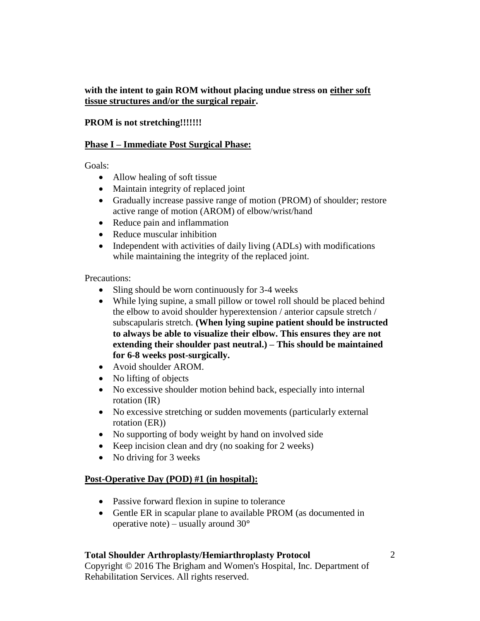#### **with the intent to gain ROM without placing undue stress on either soft tissue structures and/or the surgical repair.**

## **PROM is not stretching!!!!!!!**

#### **Phase I – Immediate Post Surgical Phase:**

Goals:

- Allow healing of soft tissue
- Maintain integrity of replaced joint
- Gradually increase passive range of motion (PROM) of shoulder; restore active range of motion (AROM) of elbow/wrist/hand
- Reduce pain and inflammation
- Reduce muscular inhibition
- Independent with activities of daily living (ADLs) with modifications while maintaining the integrity of the replaced joint.

Precautions:

- Sling should be worn continuously for 3-4 weeks
- While lying supine, a small pillow or towel roll should be placed behind the elbow to avoid shoulder hyperextension / anterior capsule stretch / subscapularis stretch. **(When lying supine patient should be instructed to always be able to visualize their elbow. This ensures they are not extending their shoulder past neutral.) – This should be maintained for 6-8 weeks post-surgically.**
- Avoid shoulder AROM.
- No lifting of objects
- No excessive shoulder motion behind back, especially into internal rotation (IR)
- No excessive stretching or sudden movements (particularly external rotation (ER))
- No supporting of body weight by hand on involved side
- Keep incision clean and dry (no soaking for 2 weeks)
- No driving for 3 weeks

## **Post-Operative Day (POD) #1 (in hospital):**

- Passive forward flexion in supine to tolerance
- Gentle ER in scapular plane to available PROM (as documented in operative note) – usually around 30**°**

## **Total Shoulder Arthroplasty/Hemiarthroplasty Protocol**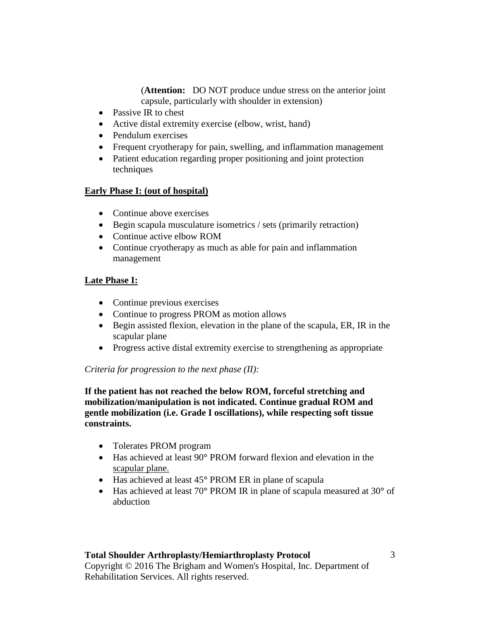(**Attention:** DO NOT produce undue stress on the anterior joint capsule, particularly with shoulder in extension)

- Passive IR to chest
- Active distal extremity exercise (elbow, wrist, hand)
- Pendulum exercises
- Frequent cryotherapy for pain, swelling, and inflammation management
- Patient education regarding proper positioning and joint protection techniques

## **Early Phase I: (out of hospital)**

- Continue above exercises
- Begin scapula musculature isometrics / sets (primarily retraction)
- Continue active elbow ROM
- Continue cryotherapy as much as able for pain and inflammation management

#### **Late Phase I:**

- Continue previous exercises
- Continue to progress PROM as motion allows
- Begin assisted flexion, elevation in the plane of the scapula, ER, IR in the scapular plane
- Progress active distal extremity exercise to strengthening as appropriate

#### *Criteria for progression to the next phase (II):*

**If the patient has not reached the below ROM, forceful stretching and mobilization/manipulation is not indicated. Continue gradual ROM and gentle mobilization (i.e. Grade I oscillations), while respecting soft tissue constraints.** 

- Tolerates PROM program
- Has achieved at least 90**°** PROM forward flexion and elevation in the scapular plane.
- Has achieved at least 45**°** PROM ER in plane of scapula
- Has achieved at least 70**°** PROM IR in plane of scapula measured at 30**°** of abduction

## **Total Shoulder Arthroplasty/Hemiarthroplasty Protocol**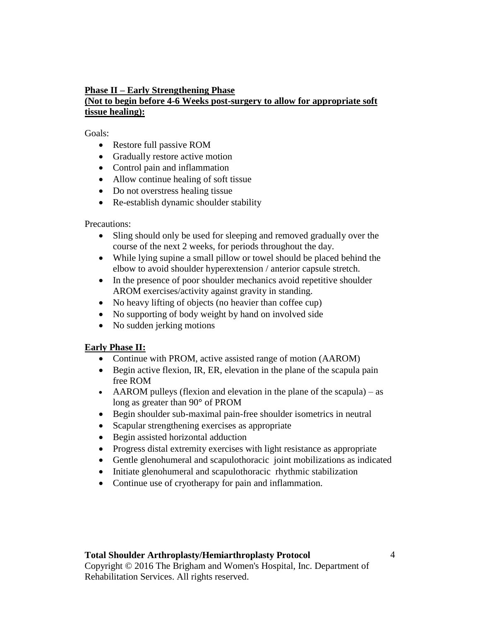#### **Phase II – Early Strengthening Phase (Not to begin before 4-6 Weeks post-surgery to allow for appropriate soft tissue healing):**

Goals:

- Restore full passive ROM
- Gradually restore active motion
- Control pain and inflammation
- Allow continue healing of soft tissue
- Do not overstress healing tissue
- Re-establish dynamic shoulder stability

Precautions:

- Sling should only be used for sleeping and removed gradually over the course of the next 2 weeks, for periods throughout the day.
- While lying supine a small pillow or towel should be placed behind the elbow to avoid shoulder hyperextension / anterior capsule stretch.
- In the presence of poor shoulder mechanics avoid repetitive shoulder AROM exercises/activity against gravity in standing.
- No heavy lifting of objects (no heavier than coffee cup)
- No supporting of body weight by hand on involved side
- No sudden jerking motions

# **Early Phase II:**

- Continue with PROM, active assisted range of motion (AAROM)
- Begin active flexion, IR, ER, elevation in the plane of the scapula pain free ROM
- AAROM pulleys (flexion and elevation in the plane of the scapula) as long as greater than 90**°** of PROM
- Begin shoulder sub-maximal pain-free shoulder isometrics in neutral
- Scapular strengthening exercises as appropriate
- Begin assisted horizontal adduction
- Progress distal extremity exercises with light resistance as appropriate
- Gentle glenohumeral and scapulothoracic joint mobilizations as indicated
- Initiate glenohumeral and scapulothoracic rhythmic stabilization
- Continue use of cryotherapy for pain and inflammation.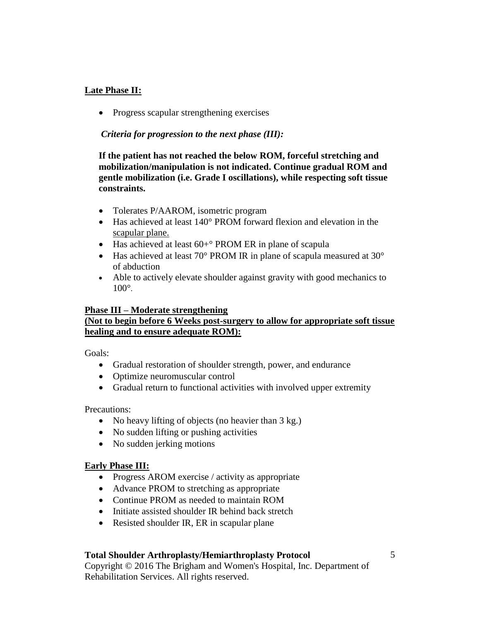# **Late Phase II:**

• Progress scapular strengthening exercises

## *Criteria for progression to the next phase (III):*

#### **If the patient has not reached the below ROM, forceful stretching and mobilization/manipulation is not indicated. Continue gradual ROM and gentle mobilization (i.e. Grade I oscillations), while respecting soft tissue constraints.**

- Tolerates P/AAROM, isometric program
- Has achieved at least 140° PROM forward flexion and elevation in the scapular plane.
- $\bullet$  Has achieved at least 60+ $\degree$  PROM ER in plane of scapula
- $\bullet$  Has achieved at least 70° PROM IR in plane of scapula measured at 30° of abduction
- Able to actively elevate shoulder against gravity with good mechanics to  $100^\circ$ .

#### **Phase III – Moderate strengthening**

#### **(Not to begin before 6 Weeks post-surgery to allow for appropriate soft tissue healing and to ensure adequate ROM):**

Goals:

- Gradual restoration of shoulder strength, power, and endurance
- Optimize neuromuscular control
- Gradual return to functional activities with involved upper extremity

Precautions:

- No heavy lifting of objects (no heavier than 3 kg.)
- No sudden lifting or pushing activities
- No sudden jerking motions

## **Early Phase III:**

- Progress AROM exercise / activity as appropriate
- Advance PROM to stretching as appropriate
- Continue PROM as needed to maintain ROM
- Initiate assisted shoulder IR behind back stretch
- Resisted shoulder IR, ER in scapular plane

#### **Total Shoulder Arthroplasty/Hemiarthroplasty Protocol**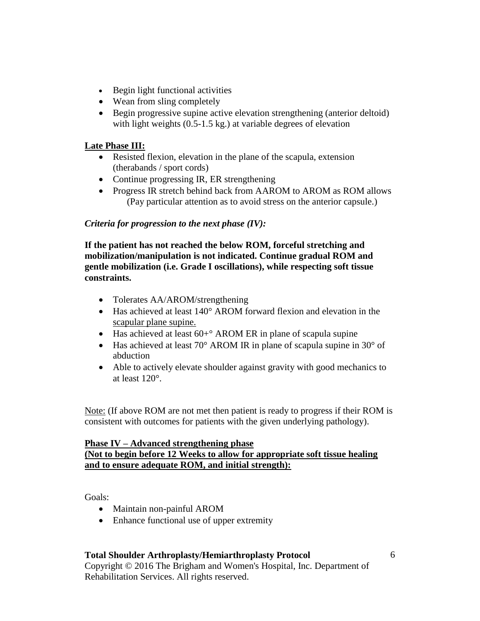- Begin light functional activities
- Wean from sling completely
- Begin progressive supine active elevation strengthening (anterior deltoid) with light weights (0.5-1.5 kg.) at variable degrees of elevation

## **Late Phase III:**

- Resisted flexion, elevation in the plane of the scapula, extension (therabands / sport cords)
- Continue progressing IR, ER strengthening
- Progress IR stretch behind back from AAROM to AROM as ROM allows (Pay particular attention as to avoid stress on the anterior capsule.)

## *Criteria for progression to the next phase (IV):*

**If the patient has not reached the below ROM, forceful stretching and mobilization/manipulation is not indicated. Continue gradual ROM and gentle mobilization (i.e. Grade I oscillations), while respecting soft tissue constraints.**

- Tolerates AA/AROM/strengthening
- Has achieved at least 140° AROM forward flexion and elevation in the scapular plane supine.
- $\bullet$  Has achieved at least 60+ $\degree$  AROM ER in plane of scapula supine
- $\bullet$  Has achieved at least 70° AROM IR in plane of scapula supine in 30° of abduction
- Able to actively elevate shoulder against gravity with good mechanics to at least 120°.

Note: (If above ROM are not met then patient is ready to progress if their ROM is consistent with outcomes for patients with the given underlying pathology).

#### **Phase IV – Advanced strengthening phase (Not to begin before 12 Weeks to allow for appropriate soft tissue healing and to ensure adequate ROM, and initial strength):**

Goals:

- Maintain non-painful AROM
- Enhance functional use of upper extremity

## **Total Shoulder Arthroplasty/Hemiarthroplasty Protocol**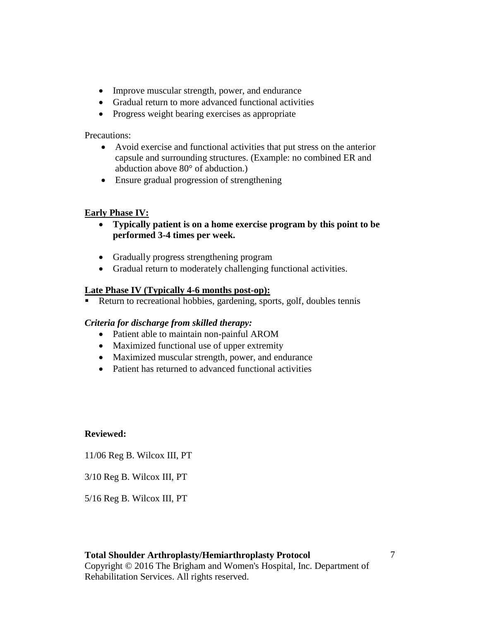- Improve muscular strength, power, and endurance
- Gradual return to more advanced functional activities
- Progress weight bearing exercises as appropriate

#### Precautions:

- Avoid exercise and functional activities that put stress on the anterior capsule and surrounding structures. (Example: no combined ER and abduction above 80° of abduction.)
- Ensure gradual progression of strengthening

## **Early Phase IV:**

- **Typically patient is on a home exercise program by this point to be performed 3-4 times per week.**
- Gradually progress strengthening program
- Gradual return to moderately challenging functional activities.

#### **Late Phase IV (Typically 4-6 months post-op):**

Return to recreational hobbies, gardening, sports, golf, doubles tennis

#### *Criteria for discharge from skilled therapy:*

- Patient able to maintain non-painful AROM
- Maximized functional use of upper extremity
- Maximized muscular strength, power, and endurance
- Patient has returned to advanced functional activities

#### **Reviewed:**

11/06 Reg B. Wilcox III, PT

3/10 Reg B. Wilcox III, PT

5/16 Reg B. Wilcox III, PT

#### **Total Shoulder Arthroplasty/Hemiarthroplasty Protocol** Copyright © 2016 The Brigham and Women's Hospital, Inc. Department of Rehabilitation Services. All rights reserved.